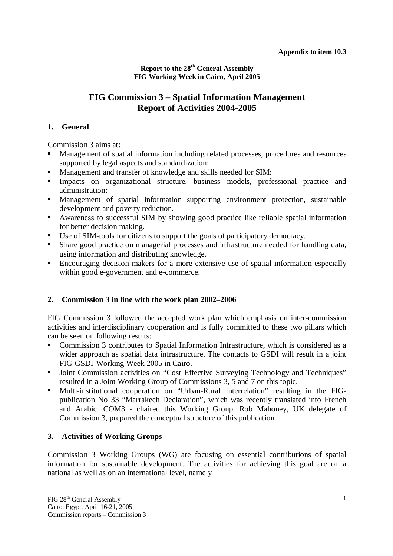**Report to the 28th General Assembly FIG Working Week in Cairo, April 2005** 

# **FIG Commission 3 – Spatial Information Management Report of Activities 2004-2005**

### **1. General**

Commission 3 aims at:

- Management of spatial information including related processes, procedures and resources supported by legal aspects and standardization;<br>Management and transfer of knowledge and skills needed for SIM: supported by legal aspects and standardization;
- 
- Management and transfer of knowledge and skills needed for SIM:<br>Impacts on organizational structure, business models, profe Impacts on organizational structure, business models, professional practice and administration; administration;
- Management of spatial information supporting environment protection, sustainable development and poverty reduction.
- Awareness to successful SIM by showing good practice like reliable spatial information for better decision making.<br>• Use of SIM-tools for citizens to support the goals of participatory democracy. for better decision making.
- 
- Use of SIM-tools for citizens to support the goals of participatory democracy.<br>■ Share good practice on managerial processes and infrastructure needed for ha Share good practice on managerial processes and infrastructure needed for handling data, using information and distributing knowledge. using information and distributing knowledge.
- Encouraging decision-makers for a more extensive use of spatial information especially within good e-government and e-commerce.

### **2. Commission 3 in line with the work plan 2002–2006**

FIG Commission 3 followed the accepted work plan which emphasis on inter-commission activities and interdisciplinary cooperation and is fully committed to these two pillars which can be seen on following results:

- Commission 3 contributes to Spatial Information Infrastructure, which is considered as a wider approach as spatial data infrastructure. The contacts to GSDI will result in a joint FIG-GSDI-Working Week 2005 in Cairo.
- Joint Commission activities on "Cost Effective Surveying Technology and Techniques"<br>resulted in a Joint Working Group of Commissions 3, 5 and 7 on this topic.<br>Multi-institutional cooperation on "Urban-Rural Interrelatio resulted in a Joint Working Group of Commissions 3, 5 and 7 on this topic.
- Multi-institutional cooperation on "Urban-Rural Interrelation" resulting in the FIG-publication No 33 "Marrakech Declaration", which was recently translated into French and Arabic. COM3 - chaired this Working Group. Rob Mahoney, UK delegate of Commission 3, prepared the conceptual structure of this publication.

### **3. Activities of Working Groups**

Commission 3 Working Groups (WG) are focusing on essential contributions of spatial information for sustainable development. The activities for achieving this goal are on a national as well as on an international level, namely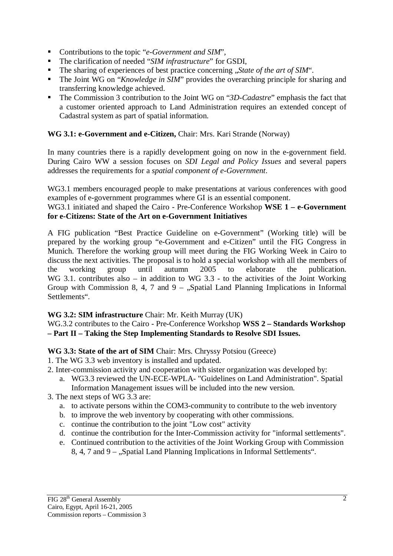- 
- Contributions to the topic "*e-Government and SIM*",<br>• The clarification of needed "*SIM infrastructure*" for GSDI,
- **The sharing of experiences of best practice concerning** ...*State of the art of SIM"*.
- The sharing of experiences of best practice concerning *"State of the art of SIM*".<br>The Joint WG on "*Knowledge in SIM*" provides the overarching principle for sh The Joint WG on "*Knowledge in SIM*" provides the overarching principle for sharing and transferring knowledge achieved. transferring knowledge achieved.
- The Commission 3 contribution to the Joint WG on "*3D-Cadastre*" emphasis the fact that a customer oriented approach to Land Administration requires an extended concept of Cadastral system as part of spatial information.

## **WG 3.1: e-Government and e-Citizen,** Chair: Mrs. Kari Strande (Norway)

In many countries there is a rapidly development going on now in the e-government field. During Cairo WW a session focuses on *SDI Legal and Policy Issues* and several papers addresses the requirements for a *spatial component of e-Government*.

WG3.1 members encouraged people to make presentations at various conferences with good examples of e-government programmes where GI is an essential component.

#### WG3.1 initiated and shaped the Cairo - Pre-Conference Workshop **WSE 1 – e-Government for e-Citizens: State of the Art on e-Government Initiatives**

A FIG publication "Best Practice Guideline on e-Government" (Working title) will be prepared by the working group "e-Government and e-Citizen" until the FIG Congress in Munich. Therefore the working group will meet during the FIG Working Week in Cairo to discuss the next activities. The proposal is to hold a special workshop with all the members of the working group until autumn 2005 to elaborate the publication. WG 3.1. contributes also – in addition to WG 3.3 - to the activities of the Joint Working Group with Commission 8, 4, 7 and 9 – "Spatial Land Planning Implications in Informal Settlements".

### **WG 3.2: SIM infrastructure** Chair: Mr. Keith Murray (UK)

WG.3.2 contributes to the Cairo - Pre-Conference Workshop **WSS 2 – Standards Workshop – Part II – Taking the Step Implementing Standards to Resolve SDI Issues.** 

### **WG 3.3: State of the art of SIM** Chair: Mrs. Chryssy Potsiou (Greece)

- 1. The WG 3.3 web inventory is installed and updated.
- 2. Inter-commission activity and cooperation with sister organization was developed by:
	- a. WG3.3 reviewed the UN-ECE-WPLA- "Guidelines on Land Administration". Spatial Information Management issues will be included into the new version.
- 3. The next steps of WG 3.3 are:
	- a. to activate persons within the COM3-community to contribute to the web inventory
	- b. to improve the web inventory by cooperating with other commissions.
	- c. continue the contribution to the joint "Low cost" activity
	- d. continue the contribution for the Inter-Commission activity for "informal settlements".
	- e. Continued contribution to the activities of the Joint Working Group with Commission 8, 4, 7 and 9 – "Spatial Land Planning Implications in Informal Settlements".